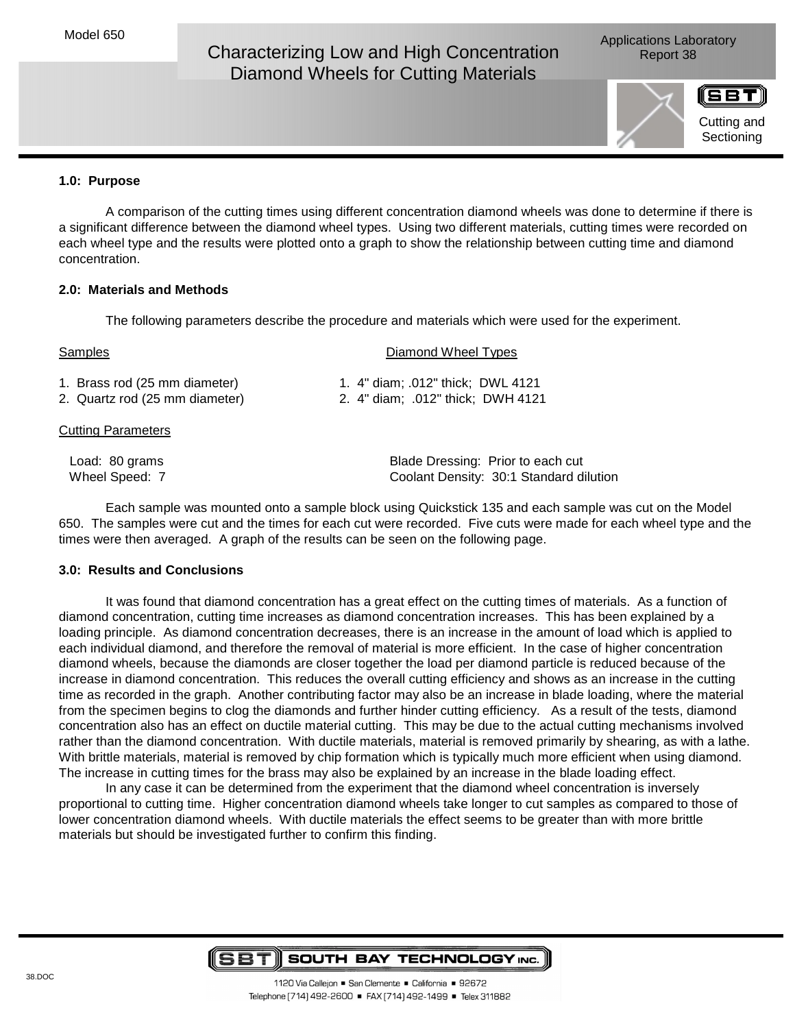# Characterizing Low and High Concentration Report 38 Diamond Wheels for Cutting Materials

Applications Laboratory



# **1.0: Purpose**

 A comparison of the cutting times using different concentration diamond wheels was done to determine if there is a significant difference between the diamond wheel types. Using two different materials, cutting times were recorded on each wheel type and the results were plotted onto a graph to show the relationship between cutting time and diamond concentration.

### **2.0: Materials and Methods**

The following parameters describe the procedure and materials which were used for the experiment.

| Samples                        | Diamond Wheel Types               |
|--------------------------------|-----------------------------------|
| 1. Brass rod (25 mm diameter)  | 1. 4" diam; .012" thick; DWL 4121 |
| 2. Quartz rod (25 mm diameter) | 2. 4" diam; .012" thick; DWH 4121 |
| <b>Cutting Parameters</b>      |                                   |
| Load: 80 grams                 | Blade Dressing: Prior to each cut |

 Wheel Speed: 7 Coolant Density: 30:1 Standard dilution Each sample was mounted onto a sample block using Quickstick 135 and each sample was cut on the Model 650. The samples were cut and the times for each cut were recorded. Five cuts were made for each wheel type and the

times were then averaged. A graph of the results can be seen on the following page.

## **3.0: Results and Conclusions**

It was found that diamond concentration has a great effect on the cutting times of materials. As a function of diamond concentration, cutting time increases as diamond concentration increases. This has been explained by a loading principle. As diamond concentration decreases, there is an increase in the amount of load which is applied to each individual diamond, and therefore the removal of material is more efficient. In the case of higher concentration diamond wheels, because the diamonds are closer together the load per diamond particle is reduced because of the increase in diamond concentration. This reduces the overall cutting efficiency and shows as an increase in the cutting time as recorded in the graph. Another contributing factor may also be an increase in blade loading, where the material from the specimen begins to clog the diamonds and further hinder cutting efficiency. As a result of the tests, diamond concentration also has an effect on ductile material cutting. This may be due to the actual cutting mechanisms involved rather than the diamond concentration. With ductile materials, material is removed primarily by shearing, as with a lathe. With brittle materials, material is removed by chip formation which is typically much more efficient when using diamond. The increase in cutting times for the brass may also be explained by an increase in the blade loading effect.

 In any case it can be determined from the experiment that the diamond wheel concentration is inversely proportional to cutting time. Higher concentration diamond wheels take longer to cut samples as compared to those of lower concentration diamond wheels. With ductile materials the effect seems to be greater than with more brittle materials but should be investigated further to confirm this finding.

#### (ISBT) **SOUTH BAY TECHNOLOGY INC.**